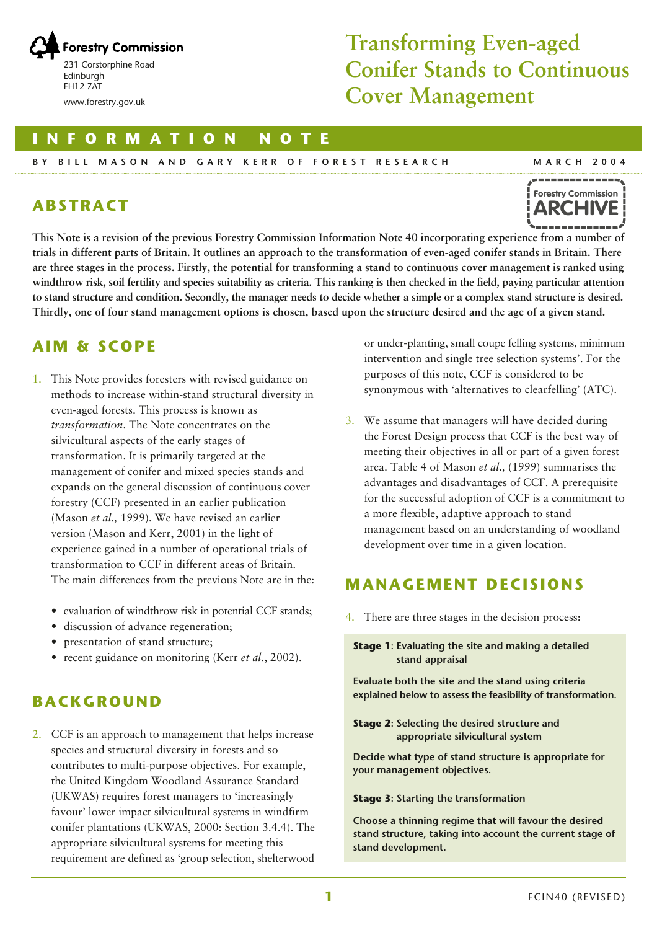

# **Transforming Even-aged Conifer Stands to Continuous Cover Management**

**INFORMATION NOTE**

#### **BY BILL MASON AND GARY KERR OF FOREST RESEARCH**

# **ABSTRACT**



**MARCH 2004**

**This Note is a revision of the previous Forestry Commission Information Note 40 incorporating experience from a number of trials in different parts of Britain. It outlines an approach to the transformation of even-aged conifer stands in Britain. There are three stages in the process. Firstly, the potential for transforming a stand to continuous cover management is ranked using windthrow risk, soil fertility and species suitability as criteria. This ranking is then checked in the field, paying particular attention to stand structure and condition. Secondly, the manager needs to decide whether a simple or a complex stand structure is desired. Thirdly, one of four stand management options is chosen, based upon the structure desired and the age of a given stand.**

# **AIM & SCOPE**

- 1. This Note provides foresters with revised guidance on methods to increase within-stand structural diversity in even-aged forests. This process is known as *transformation*. The Note concentrates on the silvicultural aspects of the early stages of transformation. It is primarily targeted at the management of conifer and mixed species stands and expands on the general discussion of continuous cover forestry (CCF) presented in an earlier publication (Mason *et al.,* 1999). We have revised an earlier version (Mason and Kerr, 2001) in the light of experience gained in a number of operational trials of transformation to CCF in different areas of Britain. The main differences from the previous Note are in the:
	- evaluation of windthrow risk in potential CCF stands;
	- discussion of advance regeneration;
	- presentation of stand structure;
	- recent guidance on monitoring (Kerr *et al*., 2002).

# **BACKGROUND**

2. CCF is an approach to management that helps increase species and structural diversity in forests and so contributes to multi-purpose objectives. For example, the United Kingdom Woodland Assurance Standard (UKWAS) requires forest managers to 'increasingly favour' lower impact silvicultural systems in windfirm conifer plantations (UKWAS, 2000: Section 3.4.4). The appropriate silvicultural systems for meeting this requirement are defined as 'group selection, shelterwood

or under-planting, small coupe felling systems, minimum intervention and single tree selection systems'. For the purposes of this note, CCF is considered to be synonymous with 'alternatives to clearfelling' (ATC).

3. We assume that managers will have decided during the Forest Design process that CCF is the best way of meeting their objectives in all or part of a given forest area. Table 4 of Mason *et al.,* (1999) summarises the advantages and disadvantages of CCF. A prerequisite for the successful adoption of CCF is a commitment to a more flexible, adaptive approach to stand management based on an understanding of woodland development over time in a given location.

# **MANAGEMENT DECISIONS**

4. There are three stages in the decision process:

**Stage 1: Evaluating the site and making a detailed stand appraisal**

**Evaluate both the site and the stand using criteria explained below to assess the feasibility of transformation.**

**Stage 2: Selecting the desired structure and appropriate silvicultural system**

**Decide what type of stand structure is appropriate for your management objectives.**

#### **Stage 3: Starting the transformation**

**Choose a thinning regime that will favour the desired stand structure, taking into account the current stage of stand development.**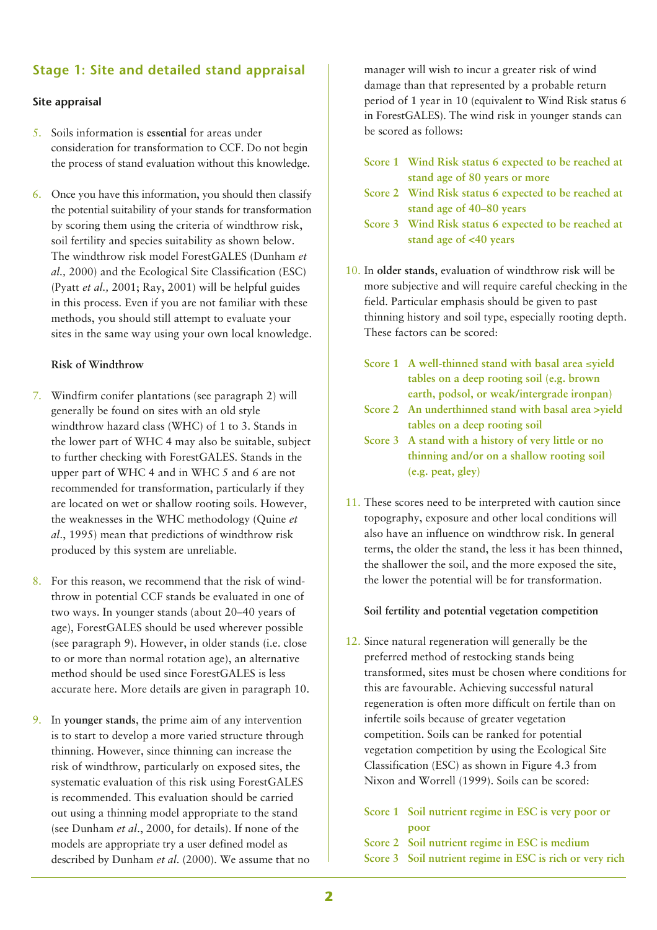## **Stage 1: Site and detailed stand appraisal**

#### **Site appraisal**

- 5. Soils information is **essential** for areas under consideration for transformation to CCF. Do not begin the process of stand evaluation without this knowledge.
- 6. Once you have this information, you should then classify the potential suitability of your stands for transformation by scoring them using the criteria of windthrow risk, soil fertility and species suitability as shown below. The windthrow risk model ForestGALES (Dunham *et al.,* 2000) and the Ecological Site Classification (ESC) (Pyatt *et al.,* 2001; Ray, 2001) will be helpful guides in this process. Even if you are not familiar with these methods, you should still attempt to evaluate your sites in the same way using your own local knowledge.

#### **Risk of Windthrow**

- 7. Windfirm conifer plantations (see paragraph 2) will generally be found on sites with an old style windthrow hazard class (WHC) of 1 to 3. Stands in the lower part of WHC 4 may also be suitable, subject to further checking with ForestGALES. Stands in the upper part of WHC 4 and in WHC 5 and 6 are not recommended for transformation, particularly if they are located on wet or shallow rooting soils. However, the weaknesses in the WHC methodology (Quine *et al*., 1995) mean that predictions of windthrow risk produced by this system are unreliable.
- 8. For this reason, we recommend that the risk of windthrow in potential CCF stands be evaluated in one of two ways. In younger stands (about 20–40 years of age), ForestGALES should be used wherever possible (see paragraph 9). However, in older stands (i.e. close to or more than normal rotation age), an alternative method should be used since ForestGALES is less accurate here. More details are given in paragraph 10.
- 9. In **younger stands**, the prime aim of any intervention is to start to develop a more varied structure through thinning. However, since thinning can increase the risk of windthrow, particularly on exposed sites, the systematic evaluation of this risk using ForestGALES is recommended. This evaluation should be carried out using a thinning model appropriate to the stand (see Dunham *et al*., 2000, for details). If none of the models are appropriate try a user defined model as described by Dunham *et al*. (2000). We assume that no

manager will wish to incur a greater risk of wind damage than that represented by a probable return period of 1 year in 10 (equivalent to Wind Risk status 6 in ForestGALES). The wind risk in younger stands can be scored as follows:

- **Score 1 Wind Risk status 6 expected to be reached at stand age of 80 years or more**
- **Score 2 Wind Risk status 6 expected to be reached at stand age of 40–80 years**
- **Score 3 Wind Risk status 6 expected to be reached at stand age of <40 years**
- 10. In **older stands**, evaluation of windthrow risk will be more subjective and will require careful checking in the field. Particular emphasis should be given to past thinning history and soil type, especially rooting depth. These factors can be scored:
	- **Score 1 A well-thinned stand with basal area** ≤**yield tables on a deep rooting soil (e.g. brown earth, podsol, or weak/intergrade ironpan)**
	- **Score 2 An underthinned stand with basal area >yield tables on a deep rooting soil**
	- **Score 3 A stand with a history of very little or no thinning and/or on a shallow rooting soil (e.g. peat, gley)**
- 11. These scores need to be interpreted with caution since topography, exposure and other local conditions will also have an influence on windthrow risk. In general terms, the older the stand, the less it has been thinned, the shallower the soil, and the more exposed the site, the lower the potential will be for transformation.

#### **Soil fertility and potential vegetation competition**

12. Since natural regeneration will generally be the preferred method of restocking stands being transformed, sites must be chosen where conditions for this are favourable. Achieving successful natural regeneration is often more difficult on fertile than on infertile soils because of greater vegetation competition. Soils can be ranked for potential vegetation competition by using the Ecological Site Classification (ESC) as shown in Figure 4.3 from Nixon and Worrell (1999). Soils can be scored:

| Score 1 Soil nutrient regime in ESC is very poor or |
|-----------------------------------------------------|
| poor                                                |
| Score 2 Soil nutrient regime in ESC is medium       |
|                                                     |

**Score 3 Soil nutrient regime in ESC is rich or very rich**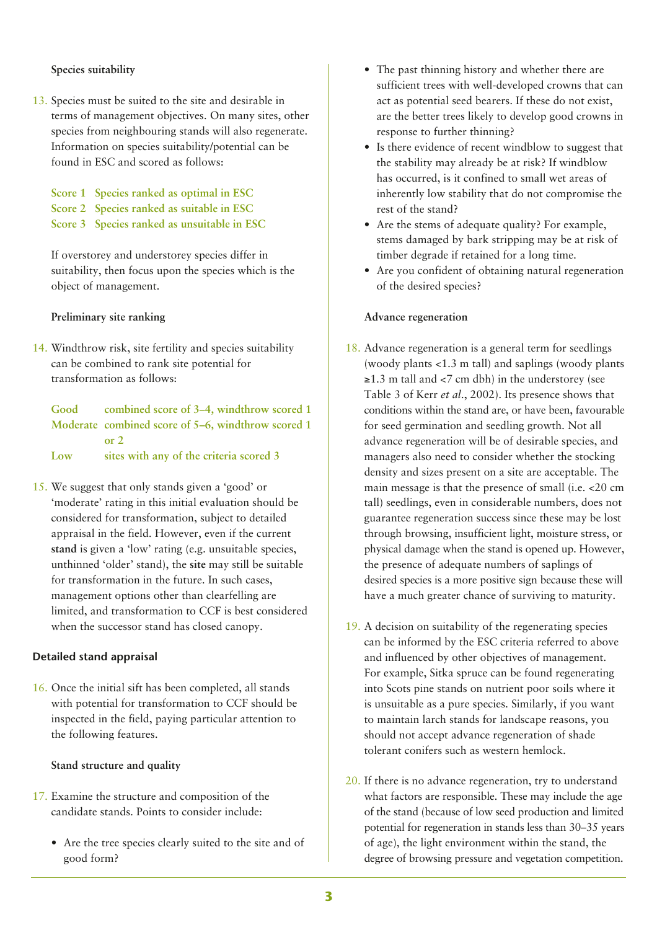#### **Species suitability**

- 13. Species must be suited to the site and desirable in terms of management objectives. On many sites, other species from neighbouring stands will also regenerate. Information on species suitability/potential can be found in ESC and scored as follows:
	- **Score 1 Species ranked as optimal in ESC Score 2 Species ranked as suitable in ESC Score 3 Species ranked as unsuitable in ESC**

If overstorey and understorey species differ in suitability, then focus upon the species which is the object of management.

**Preliminary site ranking**

14. Windthrow risk, site fertility and species suitability can be combined to rank site potential for transformation as follows:

**Good combined score of 3–4, windthrow scored 1 Moderate combined score of 5–6, windthrow scored 1 or 2 Low sites with any of the criteria scored 3**

15. We suggest that only stands given a 'good' or 'moderate' rating in this initial evaluation should be considered for transformation, subject to detailed appraisal in the field. However, even if the current **stand** is given a 'low' rating (e.g. unsuitable species, unthinned 'older' stand), the **site** may still be suitable for transformation in the future. In such cases, management options other than clearfelling are limited, and transformation to CCF is best considered when the successor stand has closed canopy.

#### **Detailed stand appraisal**

16. Once the initial sift has been completed, all stands with potential for transformation to CCF should be inspected in the field, paying particular attention to the following features.

#### **Stand structure and quality**

- 17. Examine the structure and composition of the candidate stands. Points to consider include:
	- Are the tree species clearly suited to the site and of good form?
- The past thinning history and whether there are sufficient trees with well-developed crowns that can act as potential seed bearers. If these do not exist, are the better trees likely to develop good crowns in response to further thinning?
- Is there evidence of recent windblow to suggest that the stability may already be at risk? If windblow has occurred, is it confined to small wet areas of inherently low stability that do not compromise the rest of the stand?
- Are the stems of adequate quality? For example, stems damaged by bark stripping may be at risk of timber degrade if retained for a long time.
- Are you confident of obtaining natural regeneration of the desired species?

#### **Advance regeneration**

- 18. Advance regeneration is a general term for seedlings (woody plants <1.3 m tall) and saplings (woody plants  $\geq$ 1.3 m tall and <7 cm dbh) in the understorey (see Table 3 of Kerr *et al*., 2002). Its presence shows that conditions within the stand are, or have been, favourable for seed germination and seedling growth. Not all advance regeneration will be of desirable species, and managers also need to consider whether the stocking density and sizes present on a site are acceptable. The main message is that the presence of small (i.e. <20 cm tall) seedlings, even in considerable numbers, does not guarantee regeneration success since these may be lost through browsing, insufficient light, moisture stress, or physical damage when the stand is opened up. However, the presence of adequate numbers of saplings of desired species is a more positive sign because these will have a much greater chance of surviving to maturity.
- 19. A decision on suitability of the regenerating species can be informed by the ESC criteria referred to above and influenced by other objectives of management. For example, Sitka spruce can be found regenerating into Scots pine stands on nutrient poor soils where it is unsuitable as a pure species. Similarly, if you want to maintain larch stands for landscape reasons, you should not accept advance regeneration of shade tolerant conifers such as western hemlock.
- 20. If there is no advance regeneration, try to understand what factors are responsible. These may include the age of the stand (because of low seed production and limited potential for regeneration in stands less than 30–35 years of age), the light environment within the stand, the degree of browsing pressure and vegetation competition.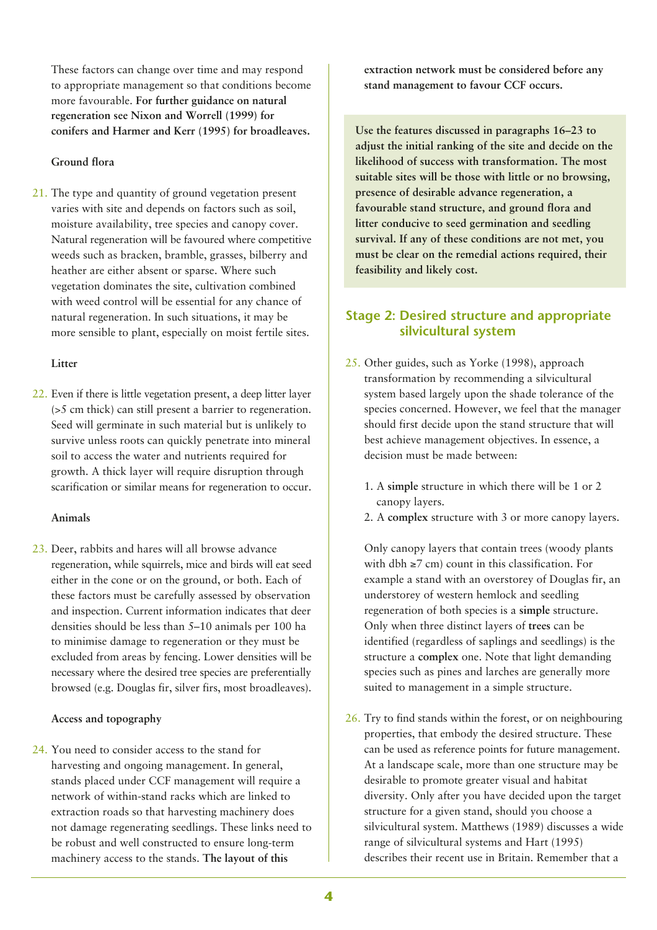These factors can change over time and may respond to appropriate management so that conditions become more favourable. **For further guidance on natural regeneration see Nixon and Worrell (1999) for conifers and Harmer and Kerr (1995) for broadleaves.**

#### **Ground flora**

21. The type and quantity of ground vegetation present varies with site and depends on factors such as soil, moisture availability, tree species and canopy cover. Natural regeneration will be favoured where competitive weeds such as bracken, bramble, grasses, bilberry and heather are either absent or sparse. Where such vegetation dominates the site, cultivation combined with weed control will be essential for any chance of natural regeneration. In such situations, it may be more sensible to plant, especially on moist fertile sites.

#### **Litter**

22. Even if there is little vegetation present, a deep litter layer (>5 cm thick) can still present a barrier to regeneration. Seed will germinate in such material but is unlikely to survive unless roots can quickly penetrate into mineral soil to access the water and nutrients required for growth. A thick layer will require disruption through scarification or similar means for regeneration to occur.

#### **Animals**

23. Deer, rabbits and hares will all browse advance regeneration, while squirrels, mice and birds will eat seed either in the cone or on the ground, or both. Each of these factors must be carefully assessed by observation and inspection. Current information indicates that deer densities should be less than 5–10 animals per 100 ha to minimise damage to regeneration or they must be excluded from areas by fencing. Lower densities will be necessary where the desired tree species are preferentially browsed (e.g. Douglas fir, silver firs, most broadleaves).

#### **Access and topography**

24. You need to consider access to the stand for harvesting and ongoing management. In general, stands placed under CCF management will require a network of within-stand racks which are linked to extraction roads so that harvesting machinery does not damage regenerating seedlings. These links need to be robust and well constructed to ensure long-term machinery access to the stands. **The layout of this**

**extraction network must be considered before any stand management to favour CCF occurs.**

**Use the features discussed in paragraphs 16–23 to adjust the initial ranking of the site and decide on the likelihood of success with transformation. The most suitable sites will be those with little or no browsing, presence of desirable advance regeneration, a favourable stand structure, and ground flora and litter conducive to seed germination and seedling survival. If any of these conditions are not met, you must be clear on the remedial actions required, their feasibility and likely cost.** 

### **Stage 2: Desired structure and appropriate silvicultural system**

- 25. Other guides, such as Yorke (1998), approach transformation by recommending a silvicultural system based largely upon the shade tolerance of the species concerned. However, we feel that the manager should first decide upon the stand structure that will best achieve management objectives. In essence, a decision must be made between:
	- 1. A **simple** structure in which there will be 1 or 2 canopy layers.
	- 2. A **complex** structure with 3 or more canopy layers.

Only canopy layers that contain trees (woody plants with dbh  $\geq$ 7 cm) count in this classification. For example a stand with an overstorey of Douglas fir, an understorey of western hemlock and seedling regeneration of both species is a **simple** structure. Only when three distinct layers of **trees** can be identified (regardless of saplings and seedlings) is the structure a **complex** one. Note that light demanding species such as pines and larches are generally more suited to management in a simple structure.

26. Try to find stands within the forest, or on neighbouring properties, that embody the desired structure. These can be used as reference points for future management. At a landscape scale, more than one structure may be desirable to promote greater visual and habitat diversity. Only after you have decided upon the target structure for a given stand, should you choose a silvicultural system. Matthews (1989) discusses a wide range of silvicultural systems and Hart (1995) describes their recent use in Britain. Remember that a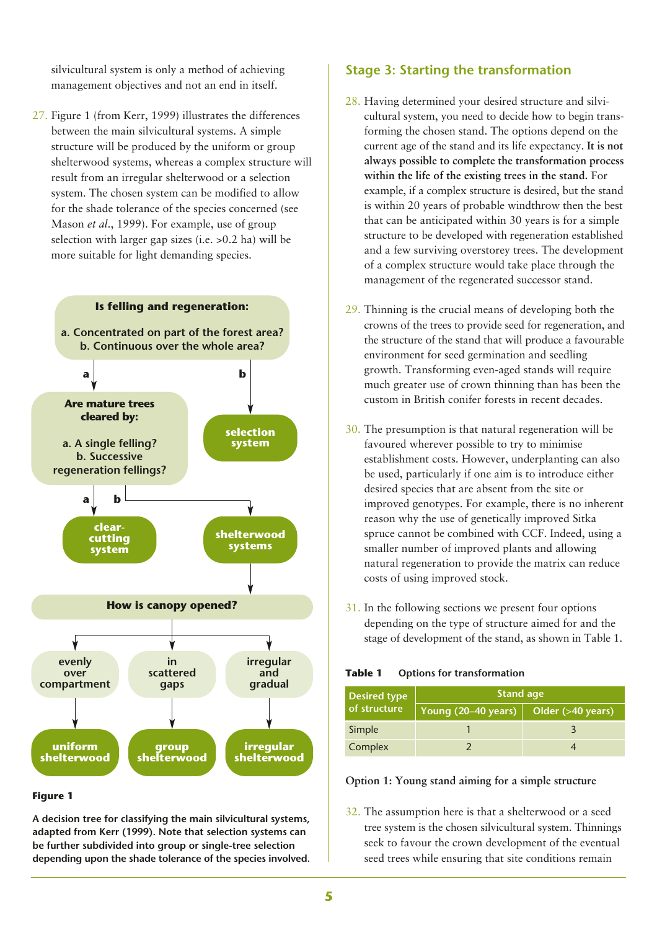silvicultural system is only a method of achieving management objectives and not an end in itself.

27. Figure 1 (from Kerr, 1999) illustrates the differences between the main silvicultural systems. A simple structure will be produced by the uniform or group shelterwood systems, whereas a complex structure will result from an irregular shelterwood or a selection system. The chosen system can be modified to allow for the shade tolerance of the species concerned (see Mason *et al*., 1999). For example, use of group selection with larger gap sizes (i.e. >0.2 ha) will be more suitable for light demanding species.



#### **Figure 1**

**A decision tree for classifying the main silvicultural systems, adapted from Kerr (1999). Note that selection systems can be further subdivided into group or single-tree selection depending upon the shade tolerance of the species involved.**

#### **Stage 3: Starting the transformation**

- 28. Having determined your desired structure and silvicultural system, you need to decide how to begin transforming the chosen stand. The options depend on the current age of the stand and its life expectancy. **It is not always possible to complete the transformation process within the life of the existing trees in the stand.** For example, if a complex structure is desired, but the stand is within 20 years of probable windthrow then the best that can be anticipated within 30 years is for a simple structure to be developed with regeneration established and a few surviving overstorey trees. The development of a complex structure would take place through the management of the regenerated successor stand.
- 29. Thinning is the crucial means of developing both the crowns of the trees to provide seed for regeneration, and the structure of the stand that will produce a favourable environment for seed germination and seedling growth. Transforming even-aged stands will require much greater use of crown thinning than has been the custom in British conifer forests in recent decades.
- 30. The presumption is that natural regeneration will be favoured wherever possible to try to minimise establishment costs. However, underplanting can also be used, particularly if one aim is to introduce either desired species that are absent from the site or improved genotypes. For example, there is no inherent reason why the use of genetically improved Sitka spruce cannot be combined with CCF. Indeed, using a smaller number of improved plants and allowing natural regeneration to provide the matrix can reduce costs of using improved stock.
- 31. In the following sections we present four options depending on the type of structure aimed for and the stage of development of the stand, as shown in Table 1.

**Table 1 Options for transformation**

| <b>Desired type</b> | <b>Stand age</b>                                          |  |  |
|---------------------|-----------------------------------------------------------|--|--|
| of structure        | Young $(20-40 \text{ years})$ Older $(>40 \text{ years})$ |  |  |
| Simple              |                                                           |  |  |
| Complex             |                                                           |  |  |

#### **Option 1: Young stand aiming for a simple structure**

32. The assumption here is that a shelterwood or a seed tree system is the chosen silvicultural system. Thinnings seek to favour the crown development of the eventual seed trees while ensuring that site conditions remain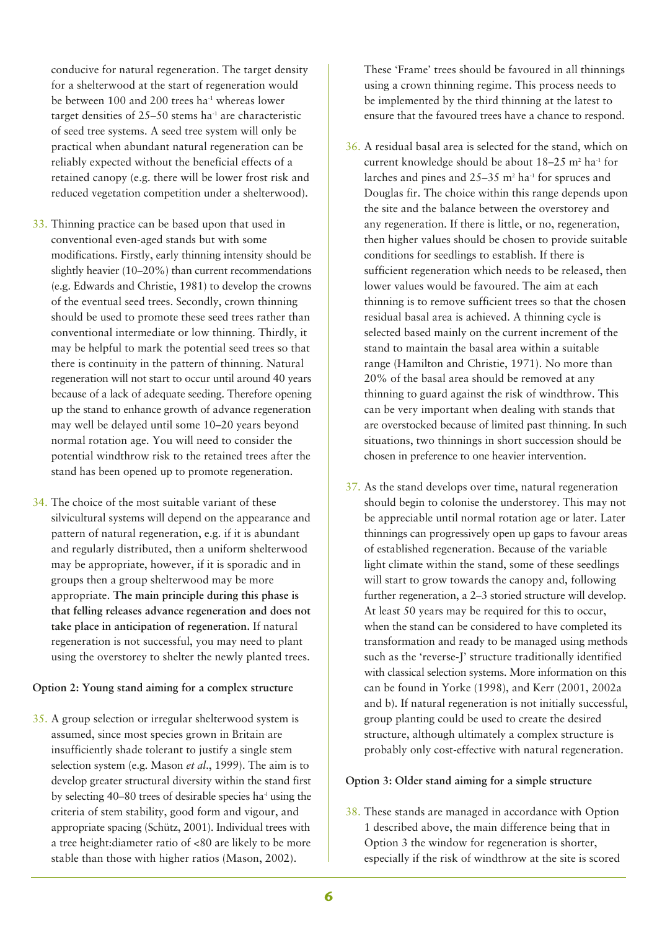conducive for natural regeneration. The target density for a shelterwood at the start of regeneration would be between 100 and 200 trees ha<sup>-1</sup> whereas lower target densities of  $25-50$  stems ha<sup>-1</sup> are characteristic of seed tree systems. A seed tree system will only be practical when abundant natural regeneration can be reliably expected without the beneficial effects of a retained canopy (e.g. there will be lower frost risk and reduced vegetation competition under a shelterwood).

- 33. Thinning practice can be based upon that used in conventional even-aged stands but with some modifications. Firstly, early thinning intensity should be slightly heavier (10–20%) than current recommendations (e.g. Edwards and Christie, 1981) to develop the crowns of the eventual seed trees. Secondly, crown thinning should be used to promote these seed trees rather than conventional intermediate or low thinning. Thirdly, it may be helpful to mark the potential seed trees so that there is continuity in the pattern of thinning. Natural regeneration will not start to occur until around 40 years because of a lack of adequate seeding. Therefore opening up the stand to enhance growth of advance regeneration may well be delayed until some 10–20 years beyond normal rotation age. You will need to consider the potential windthrow risk to the retained trees after the stand has been opened up to promote regeneration.
- 34. The choice of the most suitable variant of these silvicultural systems will depend on the appearance and pattern of natural regeneration, e.g. if it is abundant and regularly distributed, then a uniform shelterwood may be appropriate, however, if it is sporadic and in groups then a group shelterwood may be more appropriate. **The main principle during this phase is that felling releases advance regeneration and does not take place in anticipation of regeneration.** If natural regeneration is not successful, you may need to plant using the overstorey to shelter the newly planted trees.

### **Option 2: Young stand aiming for a complex structure**

35. A group selection or irregular shelterwood system is assumed, since most species grown in Britain are insufficiently shade tolerant to justify a single stem selection system (e.g. Mason *et al*., 1999). The aim is to develop greater structural diversity within the stand first by selecting  $40-80$  trees of desirable species ha<sup> $1$ </sup> using the criteria of stem stability, good form and vigour, and appropriate spacing (Schütz, 2001). Individual trees with a tree height:diameter ratio of <80 are likely to be more stable than those with higher ratios (Mason, 2002).

These 'Frame' trees should be favoured in all thinnings using a crown thinning regime. This process needs to be implemented by the third thinning at the latest to ensure that the favoured trees have a chance to respond.

- 36. A residual basal area is selected for the stand, which on current knowledge should be about 18–25 m<sup>2</sup> ha<sup>-1</sup> for larches and pines and  $25-35$  m<sup>2</sup> ha<sup>-1</sup> for spruces and Douglas fir. The choice within this range depends upon the site and the balance between the overstorey and any regeneration. If there is little, or no, regeneration, then higher values should be chosen to provide suitable conditions for seedlings to establish. If there is sufficient regeneration which needs to be released, then lower values would be favoured. The aim at each thinning is to remove sufficient trees so that the chosen residual basal area is achieved. A thinning cycle is selected based mainly on the current increment of the stand to maintain the basal area within a suitable range (Hamilton and Christie, 1971). No more than 20% of the basal area should be removed at any thinning to guard against the risk of windthrow. This can be very important when dealing with stands that are overstocked because of limited past thinning. In such situations, two thinnings in short succession should be chosen in preference to one heavier intervention.
- 37. As the stand develops over time, natural regeneration should begin to colonise the understorey. This may not be appreciable until normal rotation age or later. Later thinnings can progressively open up gaps to favour areas of established regeneration. Because of the variable light climate within the stand, some of these seedlings will start to grow towards the canopy and, following further regeneration, a 2–3 storied structure will develop. At least 50 years may be required for this to occur, when the stand can be considered to have completed its transformation and ready to be managed using methods such as the 'reverse-J' structure traditionally identified with classical selection systems. More information on this can be found in Yorke (1998), and Kerr (2001, 2002a and b). If natural regeneration is not initially successful, group planting could be used to create the desired structure, although ultimately a complex structure is probably only cost-effective with natural regeneration.

#### **Option 3: Older stand aiming for a simple structure**

38. These stands are managed in accordance with Option 1 described above, the main difference being that in Option 3 the window for regeneration is shorter, especially if the risk of windthrow at the site is scored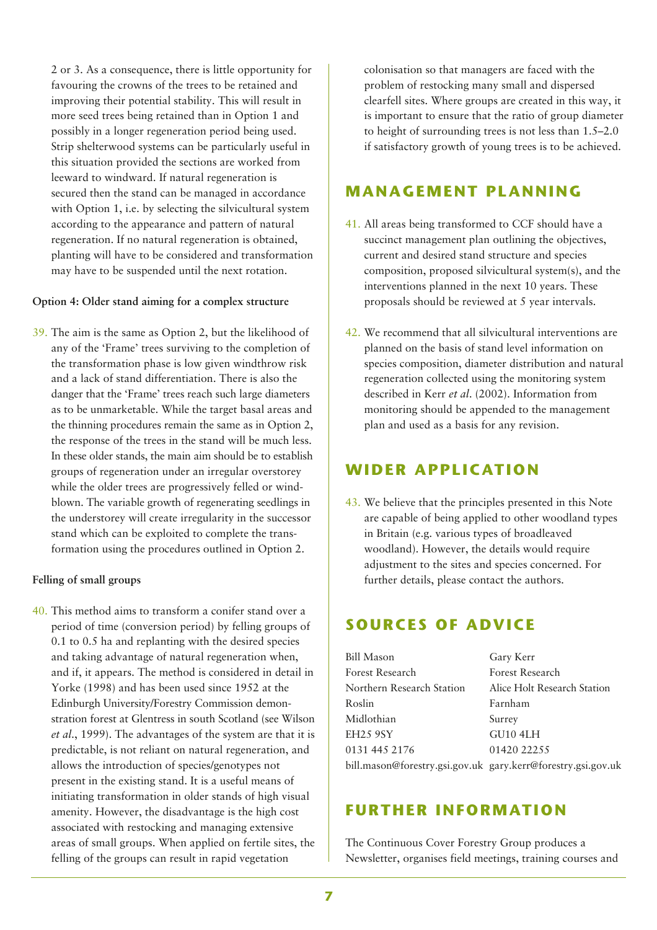2 or 3. As a consequence, there is little opportunity for favouring the crowns of the trees to be retained and improving their potential stability. This will result in more seed trees being retained than in Option 1 and possibly in a longer regeneration period being used. Strip shelterwood systems can be particularly useful in this situation provided the sections are worked from leeward to windward. If natural regeneration is secured then the stand can be managed in accordance with Option 1, i.e. by selecting the silvicultural system according to the appearance and pattern of natural regeneration. If no natural regeneration is obtained, planting will have to be considered and transformation may have to be suspended until the next rotation.

#### **Option 4: Older stand aiming for a complex structure**

39. The aim is the same as Option 2, but the likelihood of any of the 'Frame' trees surviving to the completion of the transformation phase is low given windthrow risk and a lack of stand differentiation. There is also the danger that the 'Frame' trees reach such large diameters as to be unmarketable. While the target basal areas and the thinning procedures remain the same as in Option 2, the response of the trees in the stand will be much less. In these older stands, the main aim should be to establish groups of regeneration under an irregular overstorey while the older trees are progressively felled or windblown. The variable growth of regenerating seedlings in the understorey will create irregularity in the successor stand which can be exploited to complete the transformation using the procedures outlined in Option 2.

#### **Felling of small groups**

40. This method aims to transform a conifer stand over a period of time (conversion period) by felling groups of 0.1 to 0.5 ha and replanting with the desired species and taking advantage of natural regeneration when, and if, it appears. The method is considered in detail in Yorke (1998) and has been used since 1952 at the Edinburgh University/Forestry Commission demonstration forest at Glentress in south Scotland (see Wilson *et al*., 1999). The advantages of the system are that it is predictable, is not reliant on natural regeneration, and allows the introduction of species/genotypes not present in the existing stand. It is a useful means of initiating transformation in older stands of high visual amenity. However, the disadvantage is the high cost associated with restocking and managing extensive areas of small groups. When applied on fertile sites, the felling of the groups can result in rapid vegetation

colonisation so that managers are faced with the problem of restocking many small and dispersed clearfell sites. Where groups are created in this way, it is important to ensure that the ratio of group diameter to height of surrounding trees is not less than 1.5–2.0 if satisfactory growth of young trees is to be achieved.

### **MANAGEMENT PLANNING**

- 41. All areas being transformed to CCF should have a succinct management plan outlining the objectives, current and desired stand structure and species composition, proposed silvicultural system(s), and the interventions planned in the next 10 years. These proposals should be reviewed at 5 year intervals.
- 42. We recommend that all silvicultural interventions are planned on the basis of stand level information on species composition, diameter distribution and natural regeneration collected using the monitoring system described in Kerr *et al*. (2002). Information from monitoring should be appended to the management plan and used as a basis for any revision.

# **WIDER APPLICATION**

43. We believe that the principles presented in this Note are capable of being applied to other woodland types in Britain (e.g. various types of broadleaved woodland). However, the details would require adjustment to the sites and species concerned. For further details, please contact the authors.

# **SOURCES OF ADVICE**

| <b>Bill Mason</b>                                            | Gary Kerr                   |
|--------------------------------------------------------------|-----------------------------|
| Forest Research                                              | Forest Research             |
| Northern Research Station                                    | Alice Holt Research Station |
| Roslin                                                       | Farnham                     |
| Midlothian                                                   | Surrey                      |
| <b>EH25 9SY</b>                                              | GU10 4LH                    |
| 0131 445 2176                                                | 01420 22255                 |
| bill.mason@forestry.gsi.gov.uk gary.kerr@forestry.gsi.gov.uk |                             |
|                                                              |                             |

### **FURTHER INFORMATION**

The Continuous Cover Forestry Group produces a Newsletter, organises field meetings, training courses and